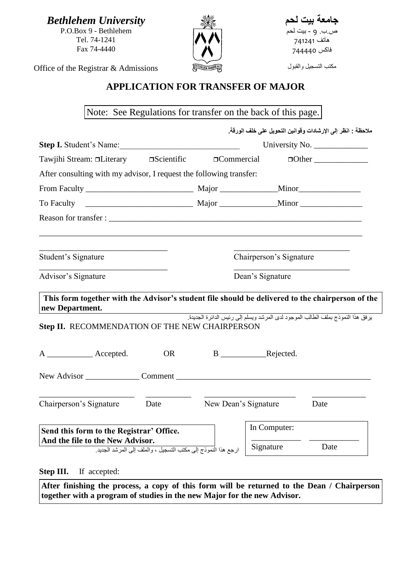*Bethlehem University* P.O.Box 9 - Bethlehem Tel. 74-1241 Fax 74-4440



**جامعة بيت لحم** ص.ب. 9 - بيت لحم هاتف 147147 فاكس 144447

مكتب التسجيل والقبول

Office of the Registrar & Admissions

## **APPLICATION FOR TRANSFER OF MAJOR**

Note: See Regulations for transfer on the back of this page.

|                                                                                                                                                                       |           |                   | ملاحظة : انظر إلى الإرشادات وفوانين التحويل على خلف الورقة. |                                                                                 |
|-----------------------------------------------------------------------------------------------------------------------------------------------------------------------|-----------|-------------------|-------------------------------------------------------------|---------------------------------------------------------------------------------|
| Step I. Student's Name:                                                                                                                                               |           |                   |                                                             |                                                                                 |
| Tawjihi Stream: □Literary □ Scientific                                                                                                                                |           | $\Box$ Commercial |                                                             | $\Box$ Other                                                                    |
| After consulting with my advisor, I request the following transfer:                                                                                                   |           |                   |                                                             |                                                                                 |
|                                                                                                                                                                       |           |                   |                                                             |                                                                                 |
| To Faculty                                                                                                                                                            |           |                   |                                                             |                                                                                 |
|                                                                                                                                                                       |           |                   |                                                             |                                                                                 |
| Student's Signature                                                                                                                                                   |           |                   | Chairperson's Signature                                     |                                                                                 |
|                                                                                                                                                                       |           |                   | Dean's Signature                                            |                                                                                 |
| Advisor's Signature                                                                                                                                                   |           |                   |                                                             |                                                                                 |
| This form together with the Advisor's student file should be delivered to the chairperson of the<br>new Department.<br>Step II. RECOMMENDATION OF THE NEW CHAIRPERSON |           |                   |                                                             | يرفق هذا النموذج بملف الطالب الموجود لدى المرشد ويسلم إلى رئيس الدائرة الجديدة. |
| A _____________ Accepted.                                                                                                                                             | <b>OR</b> |                   | B Rejected.                                                 |                                                                                 |
|                                                                                                                                                                       |           |                   |                                                             |                                                                                 |
| Chairperson's Signature Date                                                                                                                                          |           |                   | New Dean's Signature                                        | Date                                                                            |
| Send this form to the Registrar' Office.<br>And the file to the New Advisor.                                                                                          |           |                   | In Computer:                                                |                                                                                 |

**After finishing the process, a copy of this form will be returned to the Dean / Chairperson together with a program of studies in the new Major for the new Advisor.**